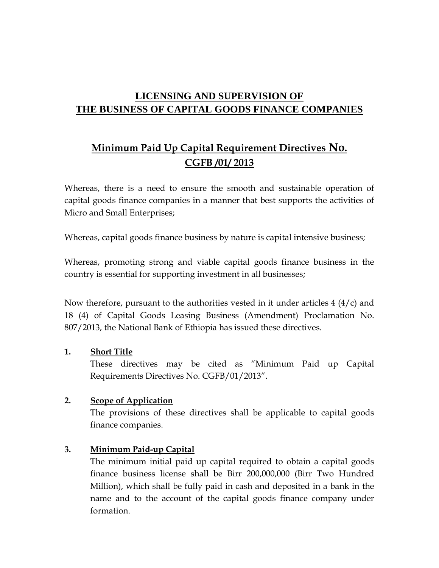### **LICENSING AND SUPERVISION OF THE BUSINESS OF CAPITAL GOODS FINANCE COMPANIES**

# **Minimum Paid Up Capital Requirement Directives No. CGFB /01/ 2013**

Whereas, there is a need to ensure the smooth and sustainable operation of capital goods finance companies in a manner that best supports the activities of Micro and Small Enterprises;

Whereas, capital goods finance business by nature is capital intensive business;

Whereas, promoting strong and viable capital goods finance business in the country is essential for supporting investment in all businesses;

Now therefore, pursuant to the authorities vested in it under articles  $4 \left( \frac{4}{c} \right)$  and 18 (4) of Capital Goods Leasing Business (Amendment) Proclamation No. 807/2013, the National Bank of Ethiopia has issued these directives.

#### **1. Short Title**

 These directives may be cited as "Minimum Paid up Capital Requirements Directives No. CGFB/01/2013".

### **2. Scope of Application**

The provisions of these directives shall be applicable to capital goods finance companies.

### **3. Minimum Paid-up Capital**

The minimum initial paid up capital required to obtain a capital goods finance business license shall be Birr 200,000,000 (Birr Two Hundred Million), which shall be fully paid in cash and deposited in a bank in the name and to the account of the capital goods finance company under formation.